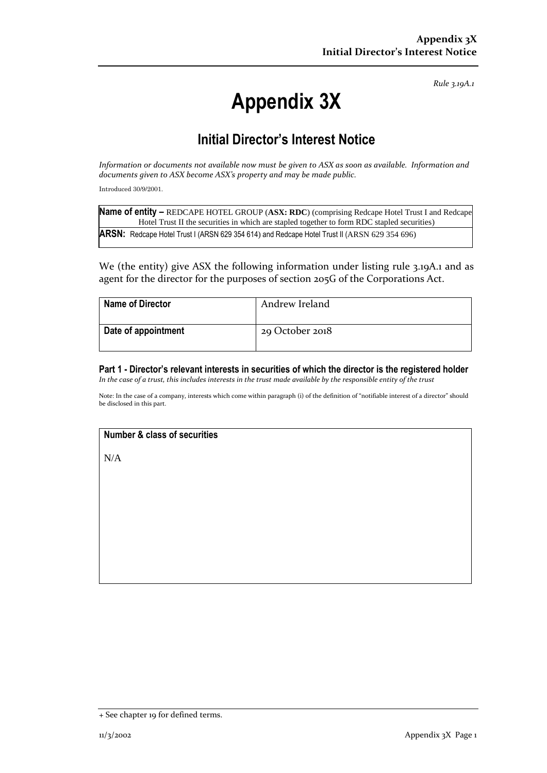*Rule 3.19A.1*

# **Appendix 3X**

## **Initial Director's Interest Notice**

*Information or documents not available now must be given to ASX as soon as available. Information and documents given to ASX become ASX's property and may be made public.*

Introduced 30/9/2001.

| Name of entity - REDCAPE HOTEL GROUP (ASX: RDC) (comprising Redcape Hotel Trust I and Redcape |
|-----------------------------------------------------------------------------------------------|
| Hotel Trust II the securities in which are stapled together to form RDC stapled securities)   |
| ARSN: Redcape Hotel Trust I (ARSN 629 354 614) and Redcape Hotel Trust II (ARSN 629 354 696)  |

We (the entity) give ASX the following information under listing rule 3.19A.1 and as agent for the director for the purposes of section 205G of the Corporations Act.

| <b>Name of Director</b> | Andrew Ireland  |
|-------------------------|-----------------|
| Date of appointment     | 29 October 2018 |

**Part 1 - Director's relevant interests in securities of which the director is the registered holder** *In the case of a trust, this includes interests in the trust made available by the responsible entity of the trust*

Note: In the case of a company, interests which come within paragraph (i) of the definition of "notifiable interest of a director" should be disclosed in this part.

### **Number & class of securities**

N/A

<sup>+</sup> See chapter 19 for defined terms.